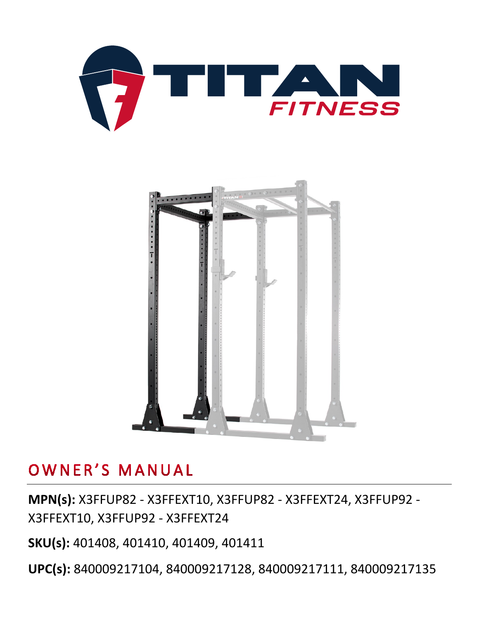



# OWNER'S MANUAL

**MPN(s):** X3FFUP82 - X3FFEXT10, X3FFUP82 - X3FFEXT24, X3FFUP92 - X3FFEXT10, X3FFUP92 - X3FFEXT24

**SKU(s):** 401408, 401410, 401409, 401411

**UPC(s):** 840009217104, 840009217128, 840009217111, 840009217135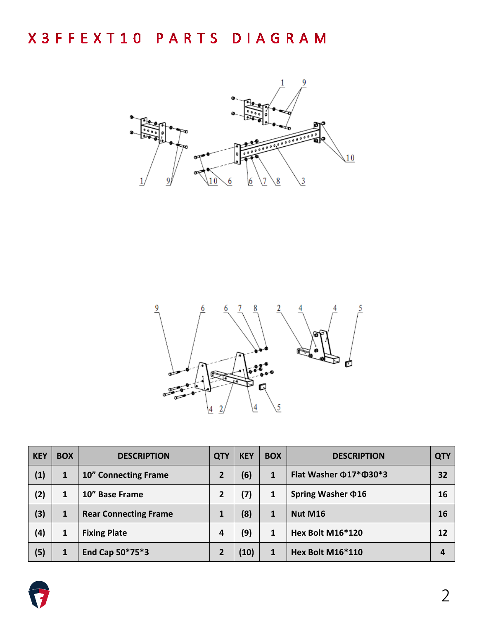



| <b>KEY</b> | <b>BOX</b> | <b>DESCRIPTION</b>           | <b>QTY</b>     | <b>KEY</b> | <b>BOX</b> | <b>DESCRIPTION</b>                 | <b>QTY</b> |
|------------|------------|------------------------------|----------------|------------|------------|------------------------------------|------------|
| (1)        | 1          | <b>10" Connecting Frame</b>  | $\overline{2}$ | (6)        |            | Flat Washer $\Phi$ 17* $\Phi$ 30*3 | 32         |
| (2)        | 1          | 10" Base Frame               | 2              | (7)        |            | Spring Washer $\Phi$ 16            | 16         |
| (3)        | 1          | <b>Rear Connecting Frame</b> | 1              | (8)        | 1          | Nut M16                            | 16         |
| (4)        | 1          | <b>Fixing Plate</b>          | 4              | (9)        |            | Hex Bolt M16*120                   | 12         |
| (5)        | 1          | End Cap 50*75*3              |                | (10)       |            | Hex Bolt M16*110                   | 4          |

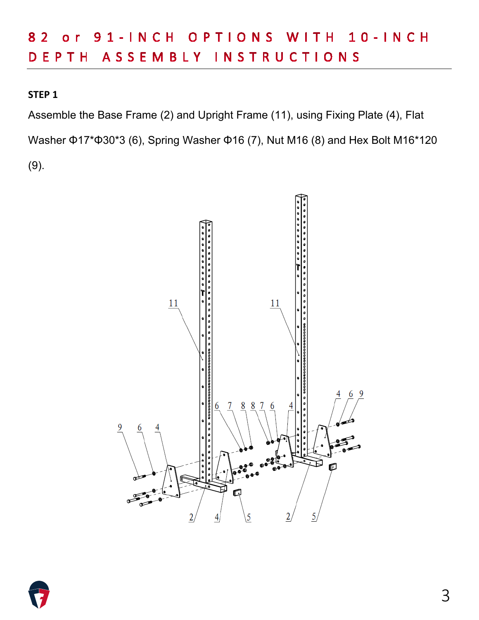#### or 91-INCH OPTIONS WITH 10-INCH 8 2 DEPTH ASSEMBLY INSTRUCTIONS

#### **STEP 1**

Assemble the Base Frame (2) and Upright Frame (11), using Fixing Plate (4), Flat Washer Φ17\*Φ30\*3 (6), Spring Washer Φ16 (7), Nut M16 (8) and Hex Bolt M16\*120 (9).



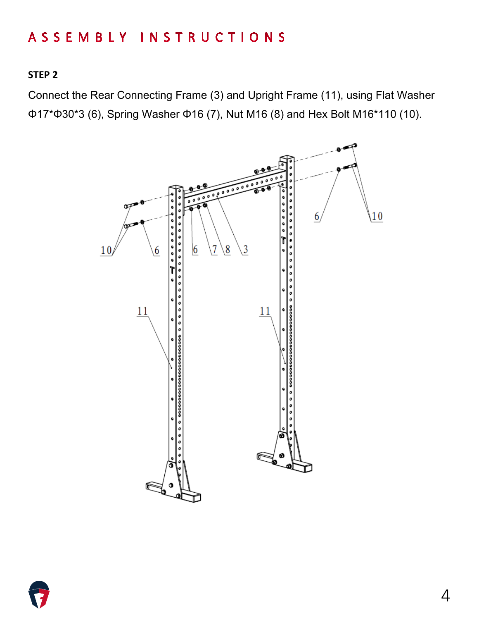Connect the Rear Connecting Frame (3) and Upright Frame (11), using Flat Washer Φ17\*Φ30\*3 (6), Spring Washer Φ16 (7), Nut M16 (8) and Hex Bolt M16\*110 (10).



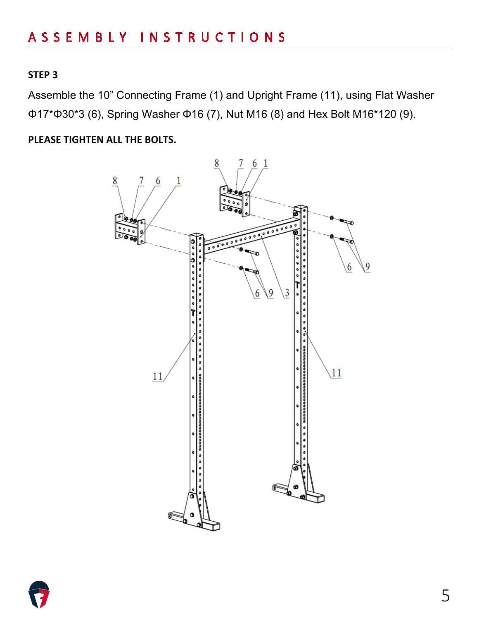Assemble the 10" Connecting Frame (1) and Upright Frame (11), using Flat Washer Φ17\*Φ30\*3 (6), Spring Washer Φ16 (7), Nut M16 (8) and Hex Bolt M16\*120 (9).

**PLEASE TIGHTEN ALL THE BOLTS.**



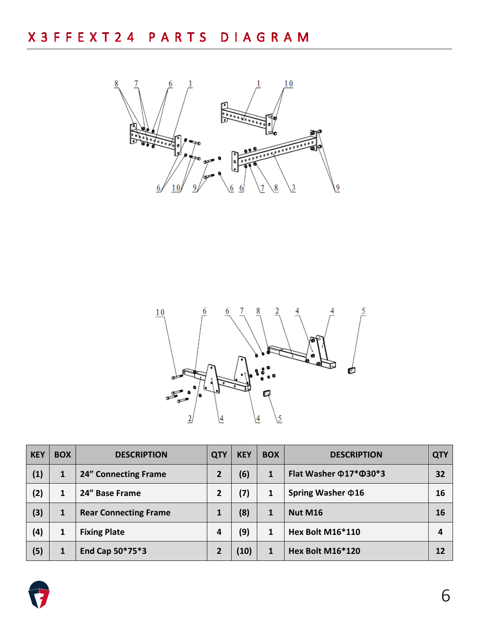



| <b>KEY</b> | <b>BOX</b> | <b>DESCRIPTION</b>           | <b>QTY</b>     | <b>KEY</b> | <b>BOX</b> | <b>DESCRIPTION</b>                 | <b>QTY</b> |
|------------|------------|------------------------------|----------------|------------|------------|------------------------------------|------------|
| (1)        | 1          | <b>24" Connecting Frame</b>  | $\overline{2}$ | (6)        |            | Flat Washer $\Phi$ 17* $\Phi$ 30*3 | 32         |
| (2)        | 1          | 24" Base Frame               | 2              | (7)        |            | Spring Washer $\Phi$ 16            | 16         |
| (3)        | 1          | <b>Rear Connecting Frame</b> |                | (8)        |            | <b>Nut M16</b>                     | <b>16</b>  |
| (4)        | 1          | <b>Fixing Plate</b>          | 4              | (9)        |            | <b>Hex Bolt M16*110</b>            | 4          |
| (5)        | 1          | End Cap 50*75*3              | 2              | (10)       |            | <b>Hex Bolt M16*120</b>            | 12         |

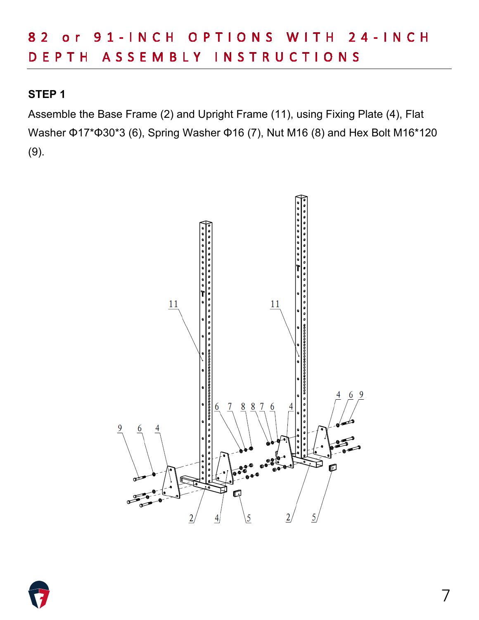Assemble the Base Frame (2) and Upright Frame (11), using Fixing Plate (4), Flat Washer Φ17\*Φ30\*3 (6), Spring Washer Φ16 (7), Nut M16 (8) and Hex Bolt M16\*120 (9).



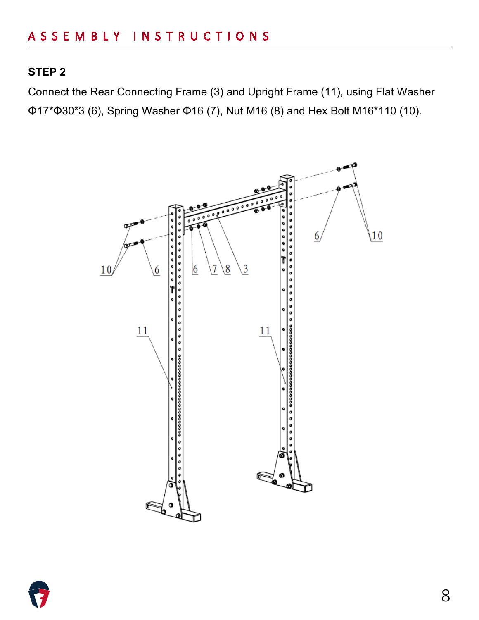Connect the Rear Connecting Frame (3) and Upright Frame (11), using Flat Washer Φ17\*Φ30\*3 (6), Spring Washer Φ16 (7), Nut M16 (8) and Hex Bolt M16\*110 (10).



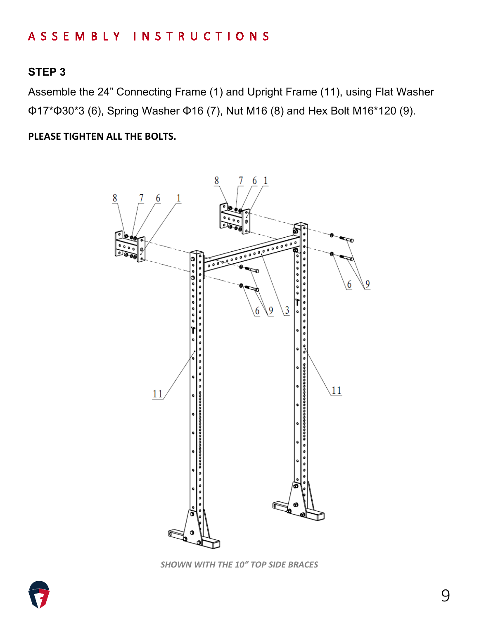Assemble the 24" Connecting Frame (1) and Upright Frame (11), using Flat Washer Φ17\*Φ30\*3 (6), Spring Washer Φ16 (7), Nut M16 (8) and Hex Bolt M16\*120 (9).

**PLEASE TIGHTEN ALL THE BOLTS.**



*SHOWN WITH THE 10" TOP SIDE BRACES*